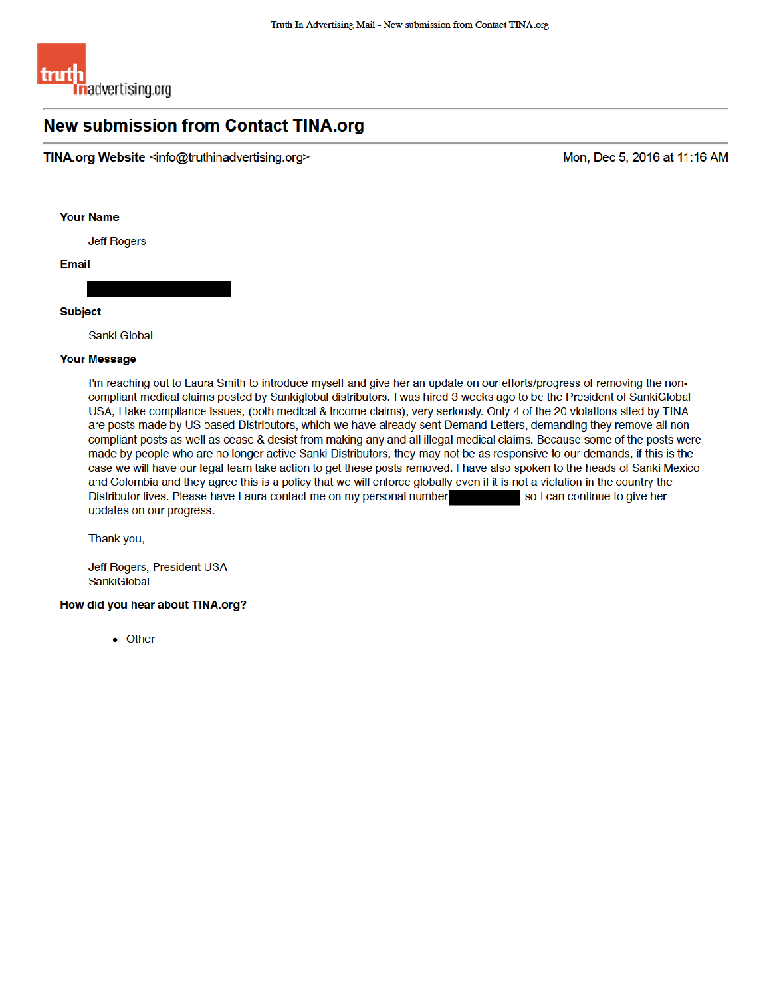

## **New submission from Contact TINA.org**

TINA.org Website <info@truthinadvertising.org>

Mon, Dec 5, 2016 at 11:16 AM

**Your Name** 

**Jeff Rogers** 

**Email** 

## **Subject**

Sanki Global

## **Your Message**

I'm reaching out to Laura Smith to introduce myself and give her an update on our efforts/progress of removing the noncompliant medical claims posted by Sankiglobal distributors. I was hired 3 weeks ago to be the President of SankiGlobal USA, I take compliance issues, (both medical & income claims), very seriously. Only 4 of the 20 violations sited by TINA are posts made by US based Distributors, which we have already sent Demand Letters, demanding they remove all non compliant posts as well as cease & desist from making any and all illegal medical claims. Because some of the posts were made by people who are no longer active Sanki Distributors, they may not be as responsive to our demands, if this is the case we will have our legal team take action to get these posts removed. I have also spoken to the heads of Sanki Mexico and Colombia and they agree this is a policy that we will enforce globally even if it is not a violation in the country the Distributor lives. Please have Laura contact me on my personal number so I can continue to give her updates on our progress.

Thank you,

Jeff Rogers, President USA SankiGlobal

## How did you hear about TINA.org?

 $\bullet$  Other